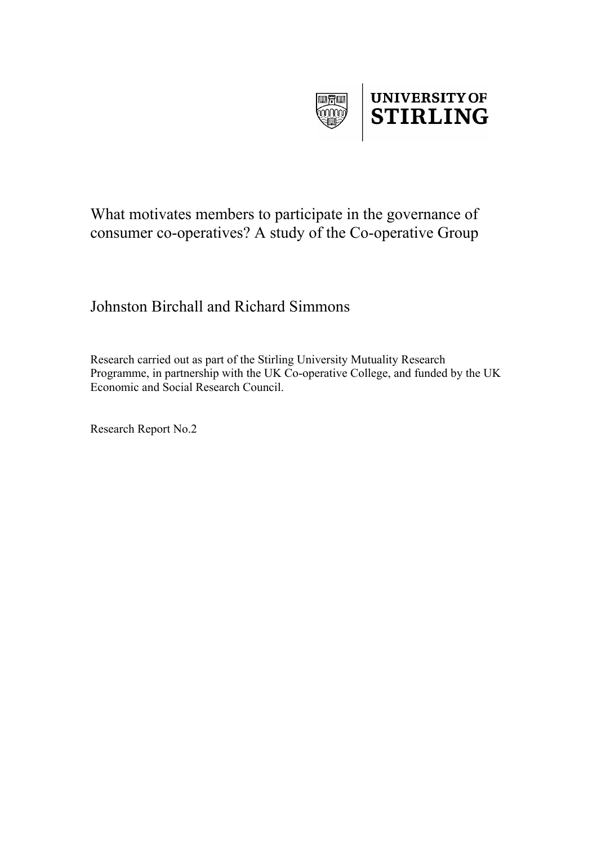



# What motivates members to participate in the governance of consumer co-operatives? A study of the Co-operative Group

# Johnston Birchall and Richard Simmons

Research carried out as part of the Stirling University Mutuality Research Programme, in partnership with the UK Co-operative College, and funded by the UK Economic and Social Research Council.

Research Report No.2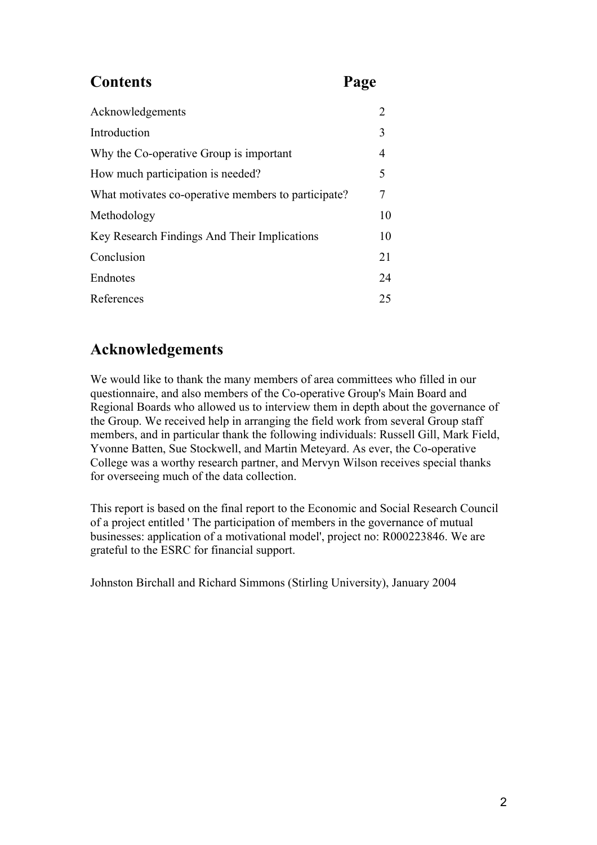# **Contents Page**

| Acknowledgements                                    |                |
|-----------------------------------------------------|----------------|
| Introduction                                        | 3              |
| Why the Co-operative Group is important             | $\overline{4}$ |
| How much participation is needed?                   | 5              |
| What motivates co-operative members to participate? | 7              |
| Methodology                                         | 10             |
| Key Research Findings And Their Implications        | 10             |
| Conclusion                                          | 21             |
| Endnotes                                            | 24             |
| References                                          | 25             |

# **Acknowledgements**

We would like to thank the many members of area committees who filled in our questionnaire, and also members of the Co-operative Group's Main Board and Regional Boards who allowed us to interview them in depth about the governance of the Group. We received help in arranging the field work from several Group staff members, and in particular thank the following individuals: Russell Gill, Mark Field, Yvonne Batten, Sue Stockwell, and Martin Meteyard. As ever, the Co-operative College was a worthy research partner, and Mervyn Wilson receives special thanks for overseeing much of the data collection.

This report is based on the final report to the Economic and Social Research Council of a project entitled ' The participation of members in the governance of mutual businesses: application of a motivational model', project no: R000223846. We are grateful to the ESRC for financial support.

Johnston Birchall and Richard Simmons (Stirling University), January 2004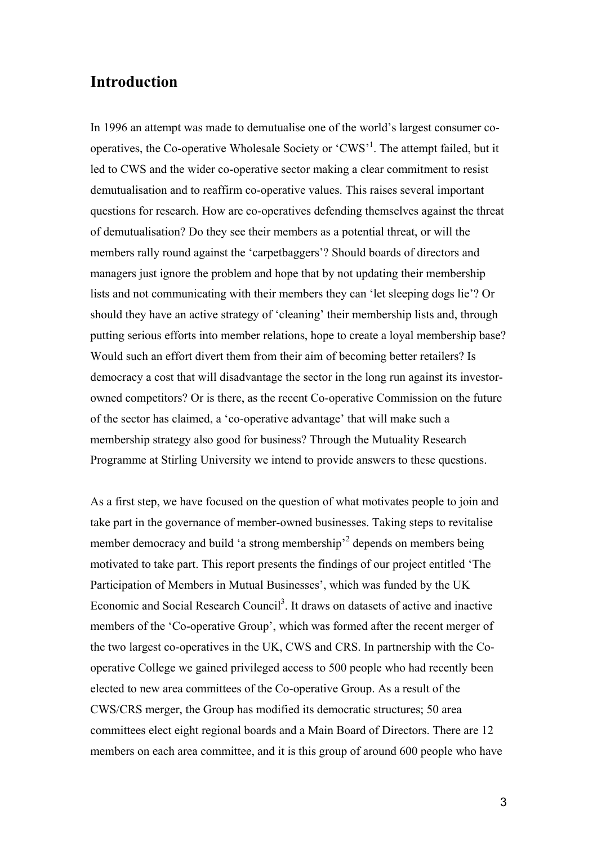## **Introduction**

In 1996 an attempt was made to demutualise one of the world's largest consumer cooperatives, the Co-operative Wholesale Society or 'CWS'<sup>1</sup>. The attempt failed, but it led to CWS and the wider co-operative sector making a clear commitment to resist demutualisation and to reaffirm co-operative values. This raises several important questions for research. How are co-operatives defending themselves against the threat of demutualisation? Do they see their members as a potential threat, or will the members rally round against the 'carpetbaggers'? Should boards of directors and managers just ignore the problem and hope that by not updating their membership lists and not communicating with their members they can 'let sleeping dogs lie'? Or should they have an active strategy of 'cleaning' their membership lists and, through putting serious efforts into member relations, hope to create a loyal membership base? Would such an effort divert them from their aim of becoming better retailers? Is democracy a cost that will disadvantage the sector in the long run against its investorowned competitors? Or is there, as the recent Co-operative Commission on the future of the sector has claimed, a 'co-operative advantage' that will make such a membership strategy also good for business? Through the Mutuality Research Programme at Stirling University we intend to provide answers to these questions.

As a first step, we have focused on the question of what motivates people to join and take part in the governance of member-owned businesses. Taking steps to revitalise member democracy and build 'a strong membership<sup>2</sup> depends on members being motivated to take part. This report presents the findings of our project entitled 'The Participation of Members in Mutual Businesses', which was funded by the UK Economic and Social Research Council<sup>3</sup>. It draws on datasets of active and inactive members of the 'Co-operative Group', which was formed after the recent merger of the two largest co-operatives in the UK, CWS and CRS. In partnership with the Cooperative College we gained privileged access to 500 people who had recently been elected to new area committees of the Co-operative Group. As a result of the CWS/CRS merger, the Group has modified its democratic structures; 50 area committees elect eight regional boards and a Main Board of Directors. There are 12 members on each area committee, and it is this group of around 600 people who have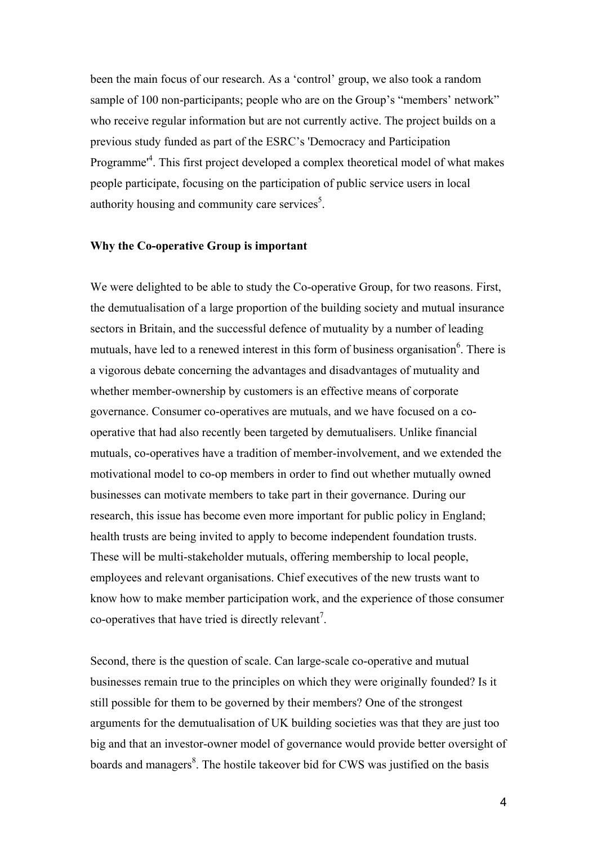been the main focus of our research. As a 'control' group, we also took a random sample of 100 non-participants; people who are on the Group's "members' network" who receive regular information but are not currently active. The project builds on a previous study funded as part of the ESRC's 'Democracy and Participation Programme<sup>14</sup>. This first project developed a complex theoretical model of what makes people participate, focusing on the participation of public service users in local authority housing and community care services<sup>5</sup>.

#### **Why the Co-operative Group is important**

We were delighted to be able to study the Co-operative Group, for two reasons. First, the demutualisation of a large proportion of the building society and mutual insurance sectors in Britain, and the successful defence of mutuality by a number of leading mutuals, have led to a renewed interest in this form of business organisation<sup>6</sup>. There is a vigorous debate concerning the advantages and disadvantages of mutuality and whether member-ownership by customers is an effective means of corporate governance. Consumer co-operatives are mutuals, and we have focused on a cooperative that had also recently been targeted by demutualisers. Unlike financial mutuals, co-operatives have a tradition of member-involvement, and we extended the motivational model to co-op members in order to find out whether mutually owned businesses can motivate members to take part in their governance. During our research, this issue has become even more important for public policy in England; health trusts are being invited to apply to become independent foundation trusts. These will be multi-stakeholder mutuals, offering membership to local people, employees and relevant organisations. Chief executives of the new trusts want to know how to make member participation work, and the experience of those consumer co-operatives that have tried is directly relevant<sup>7</sup>.

Second, there is the question of scale. Can large-scale co-operative and mutual businesses remain true to the principles on which they were originally founded? Is it still possible for them to be governed by their members? One of the strongest arguments for the demutualisation of UK building societies was that they are just too big and that an investor-owner model of governance would provide better oversight of boards and managers<sup>8</sup>. The hostile takeover bid for CWS was justified on the basis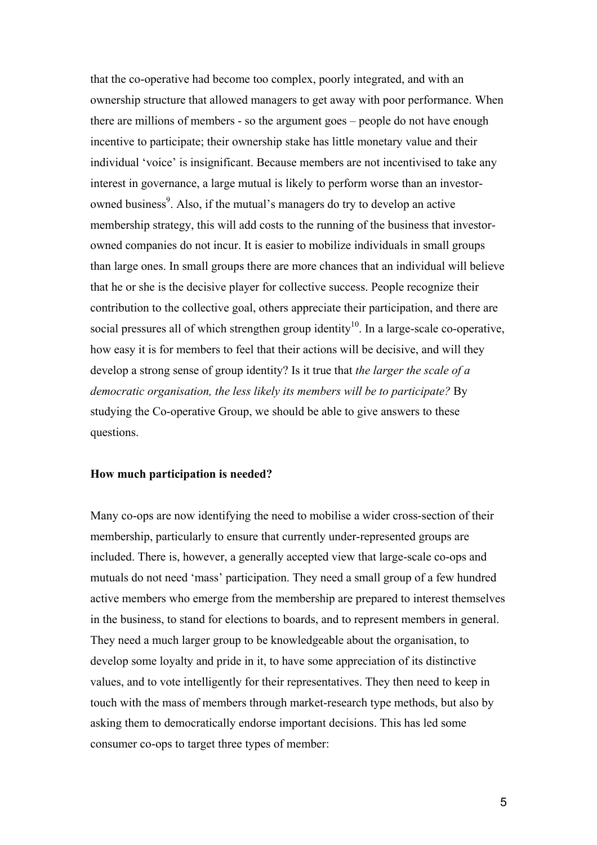that the co-operative had become too complex, poorly integrated, and with an ownership structure that allowed managers to get away with poor performance. When there are millions of members - so the argument goes – people do not have enough incentive to participate; their ownership stake has little monetary value and their individual 'voice' is insignificant. Because members are not incentivised to take any interest in governance, a large mutual is likely to perform worse than an investorowned business<sup>9</sup>. Also, if the mutual's managers do try to develop an active membership strategy, this will add costs to the running of the business that investorowned companies do not incur. It is easier to mobilize individuals in small groups than large ones. In small groups there are more chances that an individual will believe that he or she is the decisive player for collective success. People recognize their contribution to the collective goal, others appreciate their participation, and there are social pressures all of which strengthen group identity<sup>10</sup>. In a large-scale co-operative, how easy it is for members to feel that their actions will be decisive, and will they develop a strong sense of group identity? Is it true that *the larger the scale of a democratic organisation, the less likely its members will be to participate?* By studying the Co-operative Group, we should be able to give answers to these questions.

#### **How much participation is needed?**

Many co-ops are now identifying the need to mobilise a wider cross-section of their membership, particularly to ensure that currently under-represented groups are included. There is, however, a generally accepted view that large-scale co-ops and mutuals do not need 'mass' participation. They need a small group of a few hundred active members who emerge from the membership are prepared to interest themselves in the business, to stand for elections to boards, and to represent members in general. They need a much larger group to be knowledgeable about the organisation, to develop some loyalty and pride in it, to have some appreciation of its distinctive values, and to vote intelligently for their representatives. They then need to keep in touch with the mass of members through market-research type methods, but also by asking them to democratically endorse important decisions. This has led some consumer co-ops to target three types of member: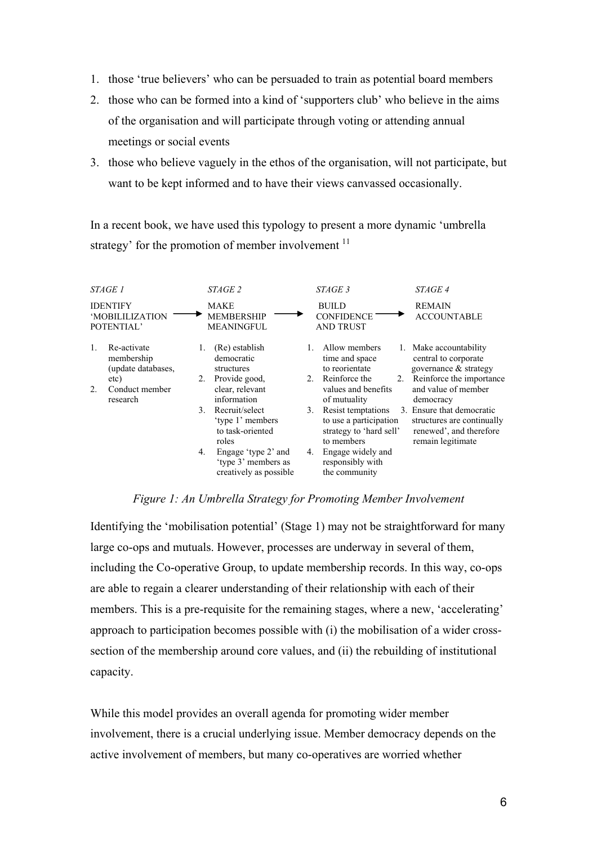- 1. those 'true believers' who can be persuaded to train as potential board members
- 2. those who can be formed into a kind of 'supporters club' who believe in the aims of the organisation and will participate through voting or attending annual meetings or social events
- 3. those who believe vaguely in the ethos of the organisation, will not participate, but want to be kept informed and to have their views canvassed occasionally.

In a recent book, we have used this typology to present a more dynamic 'umbrella strategy' for the promotion of member involvement <sup>11</sup>

| <i>STAGE 1</i>                                                                                                | <i>STAGE 2</i>                                                                                                                                                                                                                                             | <i>STAGE 3</i>                                                                                                                                                                                                                                                                                 | <i>STAGE 4</i>                                                                                                                                                                                                                                     |
|---------------------------------------------------------------------------------------------------------------|------------------------------------------------------------------------------------------------------------------------------------------------------------------------------------------------------------------------------------------------------------|------------------------------------------------------------------------------------------------------------------------------------------------------------------------------------------------------------------------------------------------------------------------------------------------|----------------------------------------------------------------------------------------------------------------------------------------------------------------------------------------------------------------------------------------------------|
| <b>IDENTIFY</b><br><b>MOBILILIZATION</b><br>POTENTIAL'                                                        | MAKE<br><b>MEMBERSHIP</b><br><b>MEANINGFUL</b>                                                                                                                                                                                                             | <b>BUILD</b><br><b>CONFIDENCE</b><br><b>AND TRUST</b>                                                                                                                                                                                                                                          | <b>REMAIN</b><br><b>ACCOUNTABLE</b>                                                                                                                                                                                                                |
| Re-activate<br>$\mathbf{1}$ .<br>membership<br>(update databases,<br>etc)<br>2.<br>Conduct member<br>research | (Re) establish<br>democratic<br>structures<br>Provide good,<br>2.<br>clear, relevant<br>information<br>Recruit/select<br>3.<br>'type 1' members<br>to task-oriented<br>roles<br>Engage 'type 2' and<br>4.<br>'type 3' members as<br>creatively as possible | Allow members<br>time and space<br>to reorientate<br>Reinforce the<br>$2_{1}$<br>$2_{-}$<br>values and benefits<br>of mutuality<br>Resist temptations<br>3.<br>to use a participation<br>strategy to 'hard sell'<br>to members<br>Engage widely and<br>4.<br>responsibly with<br>the community | 1. Make accountability<br>central to corporate<br>governance & strategy<br>Reinforce the importance<br>and value of member<br>democracy<br>3. Ensure that democratic<br>structures are continually<br>renewed', and therefore<br>remain legitimate |

### *Figure 1: An Umbrella Strategy for Promoting Member Involvement*

Identifying the 'mobilisation potential' (Stage 1) may not be straightforward for many large co-ops and mutuals. However, processes are underway in several of them, including the Co-operative Group, to update membership records. In this way, co-ops are able to regain a clearer understanding of their relationship with each of their members. This is a pre-requisite for the remaining stages, where a new, 'accelerating' approach to participation becomes possible with (i) the mobilisation of a wider crosssection of the membership around core values, and (ii) the rebuilding of institutional capacity.

While this model provides an overall agenda for promoting wider member involvement, there is a crucial underlying issue. Member democracy depends on the active involvement of members, but many co-operatives are worried whether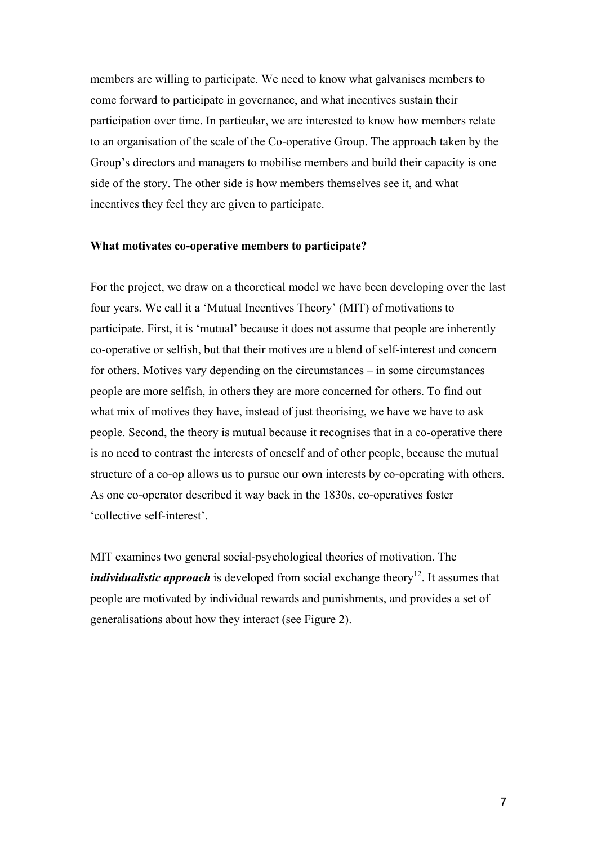members are willing to participate. We need to know what galvanises members to come forward to participate in governance, and what incentives sustain their participation over time. In particular, we are interested to know how members relate to an organisation of the scale of the Co-operative Group. The approach taken by the Group's directors and managers to mobilise members and build their capacity is one side of the story. The other side is how members themselves see it, and what incentives they feel they are given to participate.

#### **What motivates co-operative members to participate?**

For the project, we draw on a theoretical model we have been developing over the last four years. We call it a 'Mutual Incentives Theory' (MIT) of motivations to participate. First, it is 'mutual' because it does not assume that people are inherently co-operative or selfish, but that their motives are a blend of self-interest and concern for others. Motives vary depending on the circumstances – in some circumstances people are more selfish, in others they are more concerned for others. To find out what mix of motives they have, instead of just theorising, we have we have to ask people. Second, the theory is mutual because it recognises that in a co-operative there is no need to contrast the interests of oneself and of other people, because the mutual structure of a co-op allows us to pursue our own interests by co-operating with others. As one co-operator described it way back in the 1830s, co-operatives foster 'collective self-interest'.

MIT examines two general social-psychological theories of motivation. The *individualistic approach* is developed from social exchange theory<sup>12</sup>. It assumes that people are motivated by individual rewards and punishments, and provides a set of generalisations about how they interact (see Figure 2).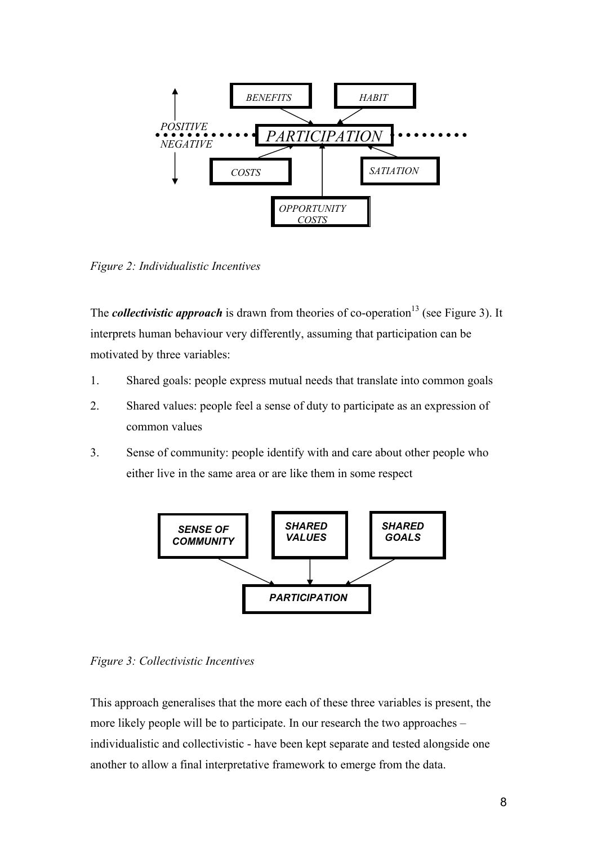

*Figure 2: Individualistic Incentives* 

The *collectivistic approach* is drawn from theories of co-operation<sup>13</sup> (see Figure 3). It interprets human behaviour very differently, assuming that participation can be motivated by three variables:

- 1. Shared goals: people express mutual needs that translate into common goals
- 2. Shared values: people feel a sense of duty to participate as an expression of common values
- 3. Sense of community: people identify with and care about other people who either live in the same area or are like them in some respect



*Figure 3: Collectivistic Incentives* 

This approach generalises that the more each of these three variables is present, the more likely people will be to participate. In our research the two approaches – individualistic and collectivistic - have been kept separate and tested alongside one another to allow a final interpretative framework to emerge from the data.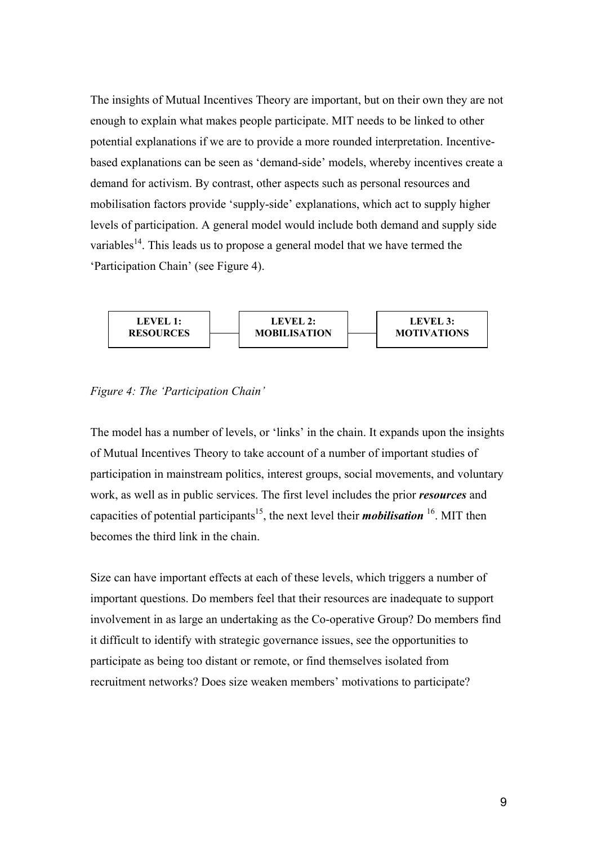The insights of Mutual Incentives Theory are important, but on their own they are not enough to explain what makes people participate. MIT needs to be linked to other potential explanations if we are to provide a more rounded interpretation. Incentivebased explanations can be seen as 'demand-side' models, whereby incentives create a demand for activism. By contrast, other aspects such as personal resources and mobilisation factors provide 'supply-side' explanations, which act to supply higher levels of participation. A general model would include both demand and supply side variables<sup>14</sup>. This leads us to propose a general model that we have termed the 'Participation Chain' (see Figure 4).





The model has a number of levels, or 'links' in the chain. It expands upon the insights of Mutual Incentives Theory to take account of a number of important studies of participation in mainstream politics, interest groups, social movements, and voluntary work, as well as in public services. The first level includes the prior *resources* and capacities of potential participants<sup>15</sup>, the next level their *mobilisation* <sup>16</sup>. MIT then becomes the third link in the chain.

Size can have important effects at each of these levels, which triggers a number of important questions. Do members feel that their resources are inadequate to support involvement in as large an undertaking as the Co-operative Group? Do members find it difficult to identify with strategic governance issues, see the opportunities to participate as being too distant or remote, or find themselves isolated from recruitment networks? Does size weaken members' motivations to participate?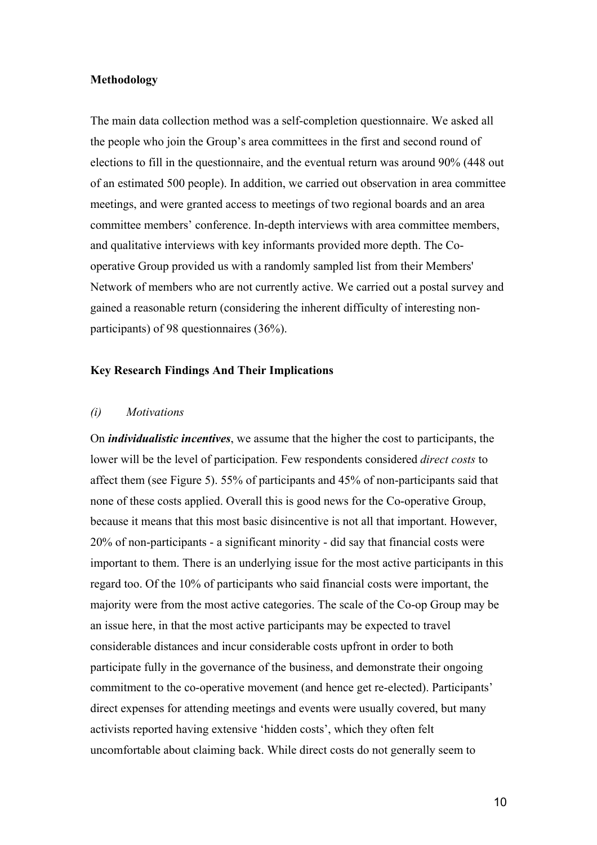#### **Methodology**

The main data collection method was a self-completion questionnaire. We asked all the people who join the Group's area committees in the first and second round of elections to fill in the questionnaire, and the eventual return was around 90% (448 out of an estimated 500 people). In addition, we carried out observation in area committee meetings, and were granted access to meetings of two regional boards and an area committee members' conference. In-depth interviews with area committee members, and qualitative interviews with key informants provided more depth. The Cooperative Group provided us with a randomly sampled list from their Members' Network of members who are not currently active. We carried out a postal survey and gained a reasonable return (considering the inherent difficulty of interesting nonparticipants) of 98 questionnaires (36%).

#### **Key Research Findings And Their Implications**

#### *(i) Motivations*

On *individualistic incentives*, we assume that the higher the cost to participants, the lower will be the level of participation. Few respondents considered *direct costs* to affect them (see Figure 5). 55% of participants and 45% of non-participants said that none of these costs applied. Overall this is good news for the Co-operative Group, because it means that this most basic disincentive is not all that important. However, 20% of non-participants - a significant minority - did say that financial costs were important to them. There is an underlying issue for the most active participants in this regard too. Of the 10% of participants who said financial costs were important, the majority were from the most active categories. The scale of the Co-op Group may be an issue here, in that the most active participants may be expected to travel considerable distances and incur considerable costs upfront in order to both participate fully in the governance of the business, and demonstrate their ongoing commitment to the co-operative movement (and hence get re-elected). Participants' direct expenses for attending meetings and events were usually covered, but many activists reported having extensive 'hidden costs', which they often felt uncomfortable about claiming back. While direct costs do not generally seem to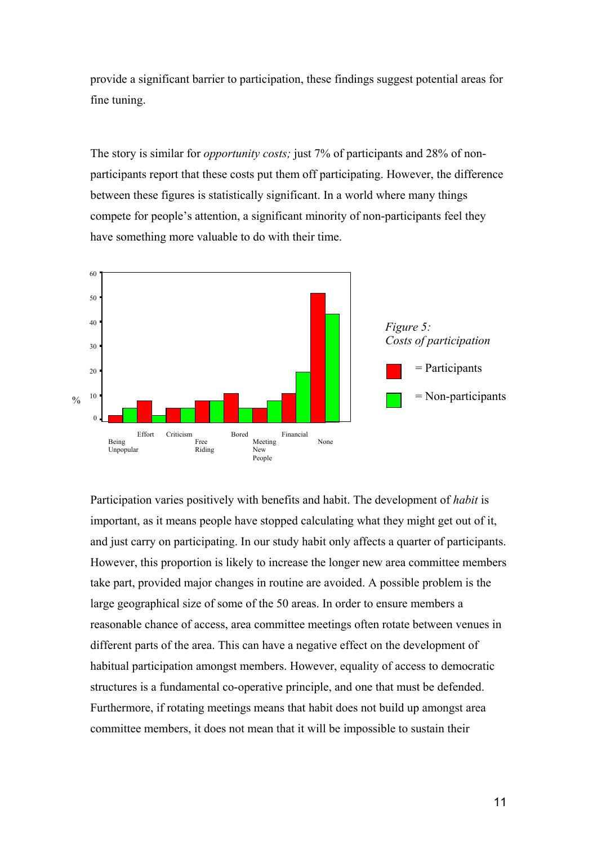provide a significant barrier to participation, these findings suggest potential areas for fine tuning.

The story is similar for *opportunity costs;* just 7% of participants and 28% of nonparticipants report that these costs put them off participating. However, the difference between these figures is statistically significant. In a world where many things compete for people's attention, a significant minority of non-participants feel they have something more valuable to do with their time.



Participation varies positively with benefits and habit. The development of *habit* is important, as it means people have stopped calculating what they might get out of it, and just carry on participating. In our study habit only affects a quarter of participants. However, this proportion is likely to increase the longer new area committee members take part, provided major changes in routine are avoided. A possible problem is the large geographical size of some of the 50 areas. In order to ensure members a reasonable chance of access, area committee meetings often rotate between venues in different parts of the area. This can have a negative effect on the development of habitual participation amongst members. However, equality of access to democratic structures is a fundamental co-operative principle, and one that must be defended. Furthermore, if rotating meetings means that habit does not build up amongst area committee members, it does not mean that it will be impossible to sustain their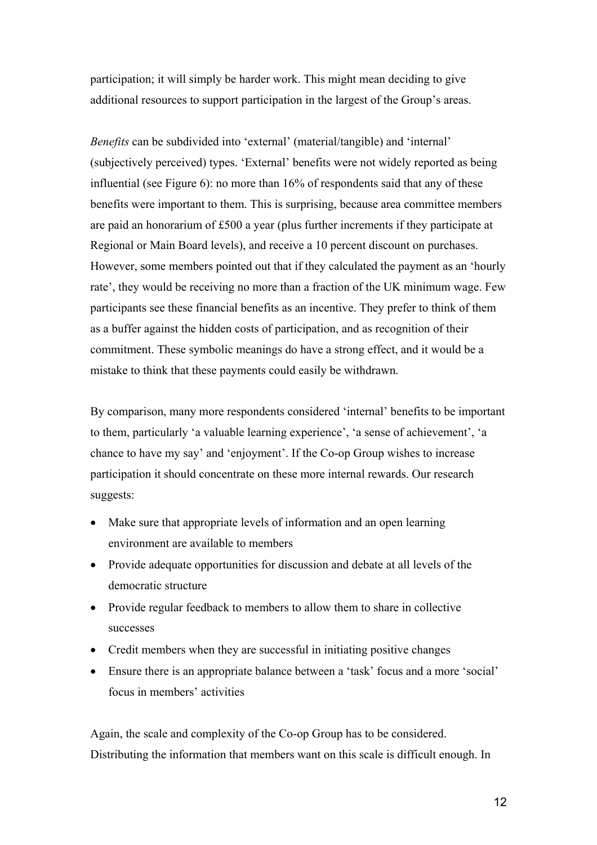participation; it will simply be harder work. This might mean deciding to give additional resources to support participation in the largest of the Group's areas.

*Benefits* can be subdivided into 'external' (material/tangible) and 'internal' (subjectively perceived) types. 'External' benefits were not widely reported as being influential (see Figure 6): no more than 16% of respondents said that any of these benefits were important to them. This is surprising, because area committee members are paid an honorarium of £500 a year (plus further increments if they participate at Regional or Main Board levels), and receive a 10 percent discount on purchases. However, some members pointed out that if they calculated the payment as an 'hourly rate', they would be receiving no more than a fraction of the UK minimum wage. Few participants see these financial benefits as an incentive. They prefer to think of them as a buffer against the hidden costs of participation, and as recognition of their commitment. These symbolic meanings do have a strong effect, and it would be a mistake to think that these payments could easily be withdrawn.

By comparison, many more respondents considered 'internal' benefits to be important to them, particularly 'a valuable learning experience', 'a sense of achievement', 'a chance to have my say' and 'enjoyment'. If the Co-op Group wishes to increase participation it should concentrate on these more internal rewards. Our research suggests:

- Make sure that appropriate levels of information and an open learning environment are available to members
- Provide adequate opportunities for discussion and debate at all levels of the democratic structure
- Provide regular feedback to members to allow them to share in collective successes
- Credit members when they are successful in initiating positive changes
- Ensure there is an appropriate balance between a 'task' focus and a more 'social' focus in members' activities

Again, the scale and complexity of the Co-op Group has to be considered. Distributing the information that members want on this scale is difficult enough. In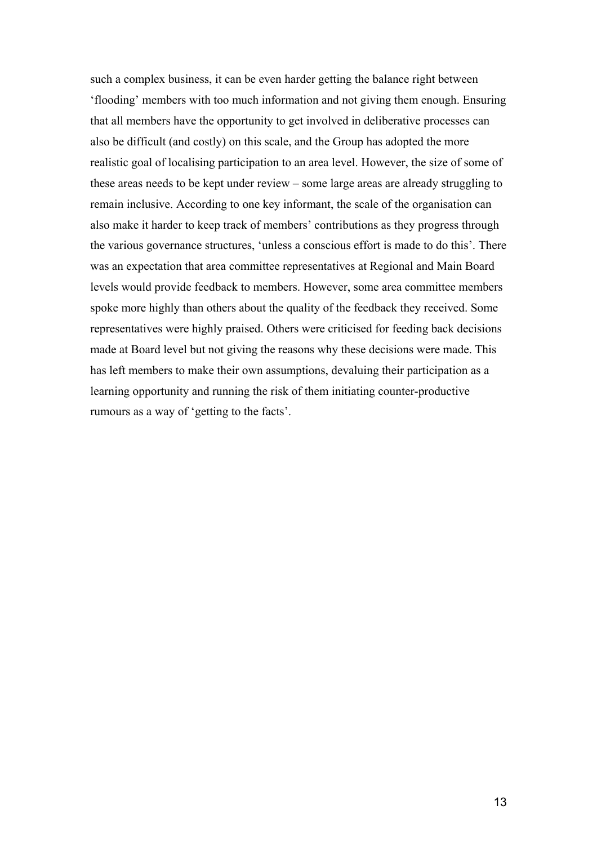such a complex business, it can be even harder getting the balance right between 'flooding' members with too much information and not giving them enough. Ensuring that all members have the opportunity to get involved in deliberative processes can also be difficult (and costly) on this scale, and the Group has adopted the more realistic goal of localising participation to an area level. However, the size of some of these areas needs to be kept under review – some large areas are already struggling to remain inclusive. According to one key informant, the scale of the organisation can also make it harder to keep track of members' contributions as they progress through the various governance structures, 'unless a conscious effort is made to do this'. There was an expectation that area committee representatives at Regional and Main Board levels would provide feedback to members. However, some area committee members spoke more highly than others about the quality of the feedback they received. Some representatives were highly praised. Others were criticised for feeding back decisions made at Board level but not giving the reasons why these decisions were made. This has left members to make their own assumptions, devaluing their participation as a learning opportunity and running the risk of them initiating counter-productive rumours as a way of 'getting to the facts'.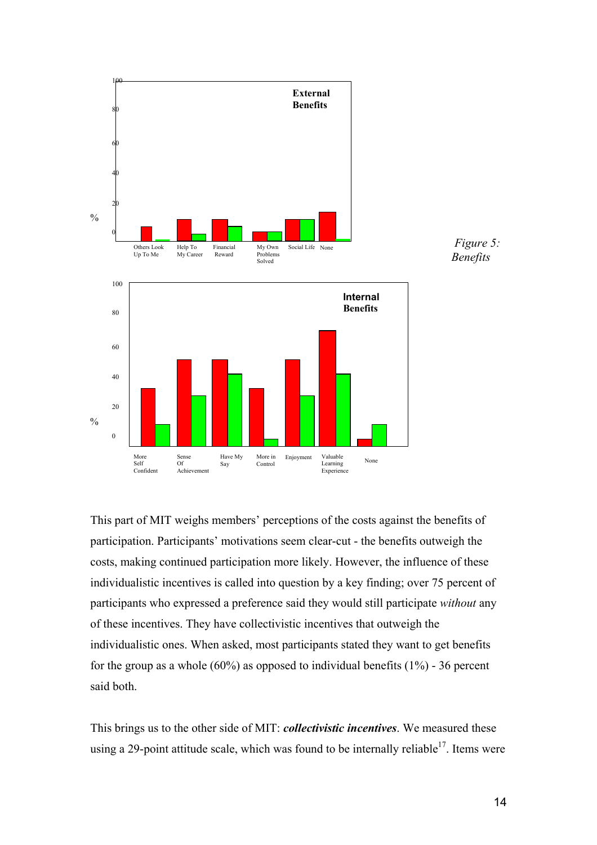

This part of MIT weighs members' perceptions of the costs against the benefits of participation. Participants' motivations seem clear-cut - the benefits outweigh the costs, making continued participation more likely. However, the influence of these individualistic incentives is called into question by a key finding; over 75 percent of participants who expressed a preference said they would still participate *without* any of these incentives. They have collectivistic incentives that outweigh the individualistic ones. When asked, most participants stated they want to get benefits for the group as a whole  $(60\%)$  as opposed to individual benefits  $(1\%)$  - 36 percent said both.

This brings us to the other side of MIT: *collectivistic incentives*. We measured these using a 29-point attitude scale, which was found to be internally reliable<sup>17</sup>. Items were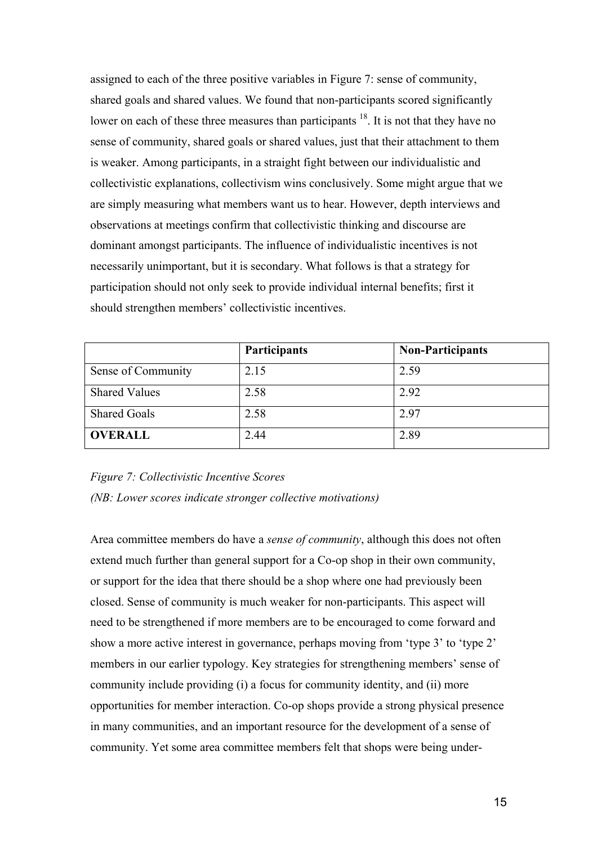assigned to each of the three positive variables in Figure 7: sense of community, shared goals and shared values. We found that non-participants scored significantly lower on each of these three measures than participants <sup>18</sup>. It is not that they have no sense of community, shared goals or shared values, just that their attachment to them is weaker. Among participants, in a straight fight between our individualistic and collectivistic explanations, collectivism wins conclusively. Some might argue that we are simply measuring what members want us to hear. However, depth interviews and observations at meetings confirm that collectivistic thinking and discourse are dominant amongst participants. The influence of individualistic incentives is not necessarily unimportant, but it is secondary. What follows is that a strategy for participation should not only seek to provide individual internal benefits; first it should strengthen members' collectivistic incentives.

|                      | <b>Participants</b> | <b>Non-Participants</b> |
|----------------------|---------------------|-------------------------|
| Sense of Community   | 2.15                | 2.59                    |
| <b>Shared Values</b> | 2.58                | 2.92                    |
| <b>Shared Goals</b>  | 2.58                | 2.97                    |
| <b>OVERALL</b>       | 2.44                | 2.89                    |

## *Figure 7: Collectivistic Incentive Scores (NB: Lower scores indicate stronger collective motivations)*

Area committee members do have a *sense of community*, although this does not often extend much further than general support for a Co-op shop in their own community, or support for the idea that there should be a shop where one had previously been closed. Sense of community is much weaker for non-participants. This aspect will need to be strengthened if more members are to be encouraged to come forward and show a more active interest in governance, perhaps moving from 'type 3' to 'type 2' members in our earlier typology. Key strategies for strengthening members' sense of community include providing (i) a focus for community identity, and (ii) more opportunities for member interaction. Co-op shops provide a strong physical presence in many communities, and an important resource for the development of a sense of community. Yet some area committee members felt that shops were being under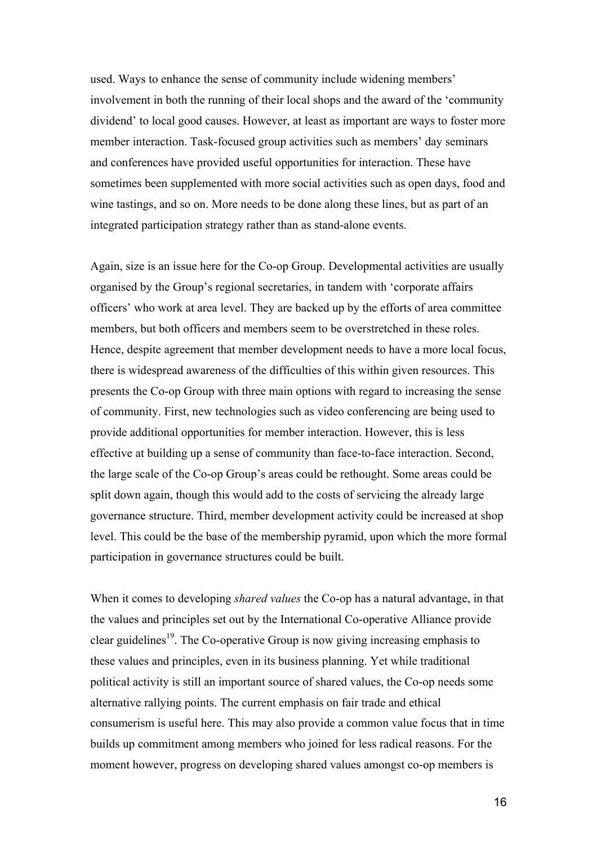used. Ways to enhance the sense of community include widening members' involvement in both the running of their local shops and the award of the 'community dividend' to local good causes. However, at least as important are ways to foster more member interaction. Task-focused group activities such as members' day seminars and conferences have provided useful opportunities for interaction. These have sometimes been supplemented with more social activities such as open days, food and wine tastings, and so on. More needs to be done along these lines, but as part of an integrated participation strategy rather than as stand-alone events.

Again, size is an issue here for the Co-op Group. Developmental activities are usually organised by the Group's regional secretaries, in tandem with 'corporate affairs officers' who work at area level. They are backed up by the efforts of area committee members, but both officers and members seem to be overstretched in these roles. Hence, despite agreement that member development needs to have a more local focus, there is widespread awareness of the difficulties of this within given resources. This presents the Co-op Group with three main options with regard to increasing the sense of community. First, new technologies such as video conferencing are being used to provide additional opportunities for member interaction. However, this is less effective at building up a sense of community than face-to-face interaction. Second, the large scale of the Co-op Group's areas could be rethought. Some areas could be split down again, though this would add to the costs of servicing the already large governance structure. Third, member development activity could be increased at shop level. This could be the base of the membership pyramid, upon which the more formal participation in governance structures could be built.

When it comes to developing *shared values* the Co-op has a natural advantage, in that the values and principles set out by the International Co-operative Alliance provide clear guidelines<sup>19</sup>. The Co-operative Group is now giving increasing emphasis to these values and principles, even in its business planning. Yet while traditional political activity is still an important source of shared values, the Co-op needs some alternative rallying points. The current emphasis on fair trade and ethical consumerism is useful here. This may also provide a common value focus that in time builds up commitment among members who joined for less radical reasons. For the moment however, progress on developing shared values amongst co-op members is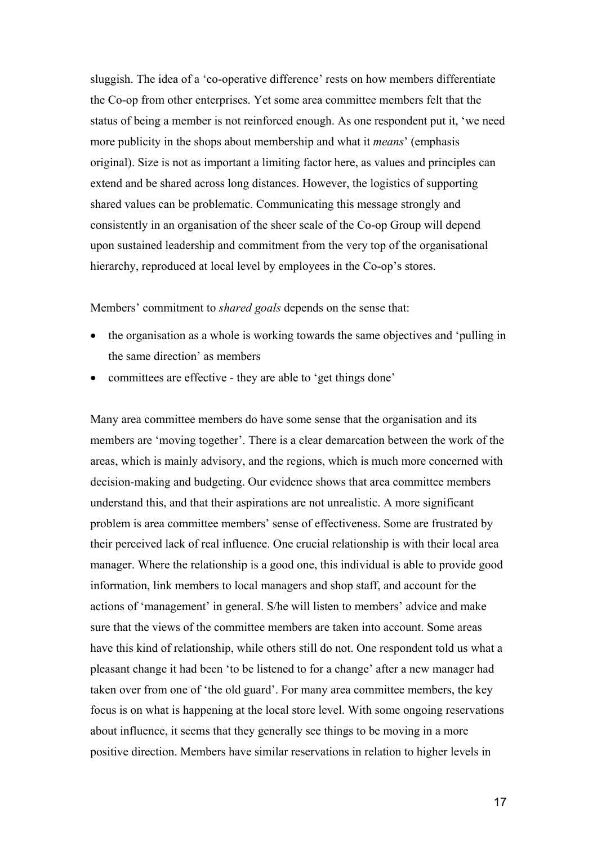sluggish. The idea of a 'co-operative difference' rests on how members differentiate the Co-op from other enterprises. Yet some area committee members felt that the status of being a member is not reinforced enough. As one respondent put it, 'we need more publicity in the shops about membership and what it *means*' (emphasis original). Size is not as important a limiting factor here, as values and principles can extend and be shared across long distances. However, the logistics of supporting shared values can be problematic. Communicating this message strongly and consistently in an organisation of the sheer scale of the Co-op Group will depend upon sustained leadership and commitment from the very top of the organisational hierarchy, reproduced at local level by employees in the Co-op's stores.

#### Members' commitment to *shared goals* depends on the sense that:

- the organisation as a whole is working towards the same objectives and 'pulling in the same direction' as members
- committees are effective they are able to 'get things done'

Many area committee members do have some sense that the organisation and its members are 'moving together'. There is a clear demarcation between the work of the areas, which is mainly advisory, and the regions, which is much more concerned with decision-making and budgeting. Our evidence shows that area committee members understand this, and that their aspirations are not unrealistic. A more significant problem is area committee members' sense of effectiveness. Some are frustrated by their perceived lack of real influence. One crucial relationship is with their local area manager. Where the relationship is a good one, this individual is able to provide good information, link members to local managers and shop staff, and account for the actions of 'management' in general. S/he will listen to members' advice and make sure that the views of the committee members are taken into account. Some areas have this kind of relationship, while others still do not. One respondent told us what a pleasant change it had been 'to be listened to for a change' after a new manager had taken over from one of 'the old guard'. For many area committee members, the key focus is on what is happening at the local store level. With some ongoing reservations about influence, it seems that they generally see things to be moving in a more positive direction. Members have similar reservations in relation to higher levels in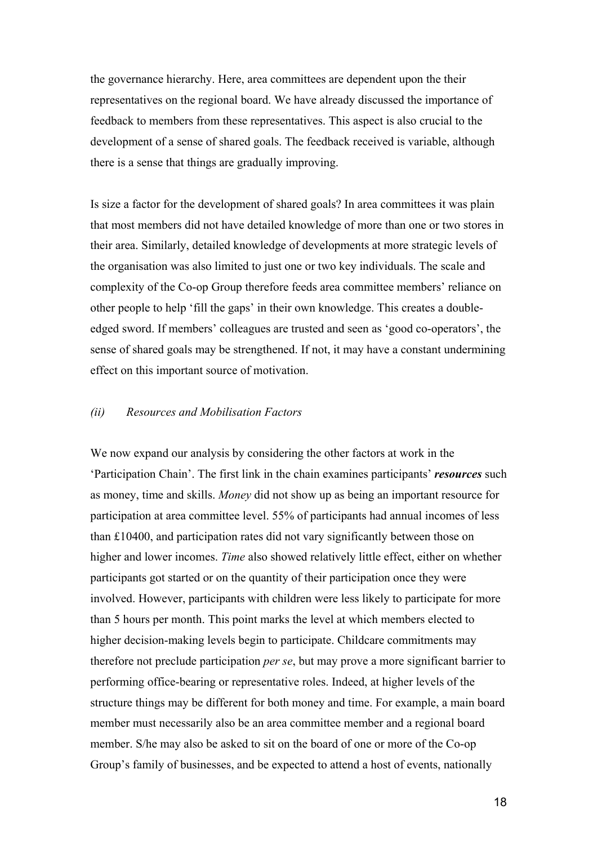the governance hierarchy. Here, area committees are dependent upon the their representatives on the regional board. We have already discussed the importance of feedback to members from these representatives. This aspect is also crucial to the development of a sense of shared goals. The feedback received is variable, although there is a sense that things are gradually improving.

Is size a factor for the development of shared goals? In area committees it was plain that most members did not have detailed knowledge of more than one or two stores in their area. Similarly, detailed knowledge of developments at more strategic levels of the organisation was also limited to just one or two key individuals. The scale and complexity of the Co-op Group therefore feeds area committee members' reliance on other people to help 'fill the gaps' in their own knowledge. This creates a doubleedged sword. If members' colleagues are trusted and seen as 'good co-operators', the sense of shared goals may be strengthened. If not, it may have a constant undermining effect on this important source of motivation.

### *(ii) Resources and Mobilisation Factors*

We now expand our analysis by considering the other factors at work in the 'Participation Chain'. The first link in the chain examines participants' *resources* such as money, time and skills. *Money* did not show up as being an important resource for participation at area committee level. 55% of participants had annual incomes of less than £10400, and participation rates did not vary significantly between those on higher and lower incomes. *Time* also showed relatively little effect, either on whether participants got started or on the quantity of their participation once they were involved. However, participants with children were less likely to participate for more than 5 hours per month. This point marks the level at which members elected to higher decision-making levels begin to participate. Childcare commitments may therefore not preclude participation *per se*, but may prove a more significant barrier to performing office-bearing or representative roles. Indeed, at higher levels of the structure things may be different for both money and time. For example, a main board member must necessarily also be an area committee member and a regional board member. S/he may also be asked to sit on the board of one or more of the Co-op Group's family of businesses, and be expected to attend a host of events, nationally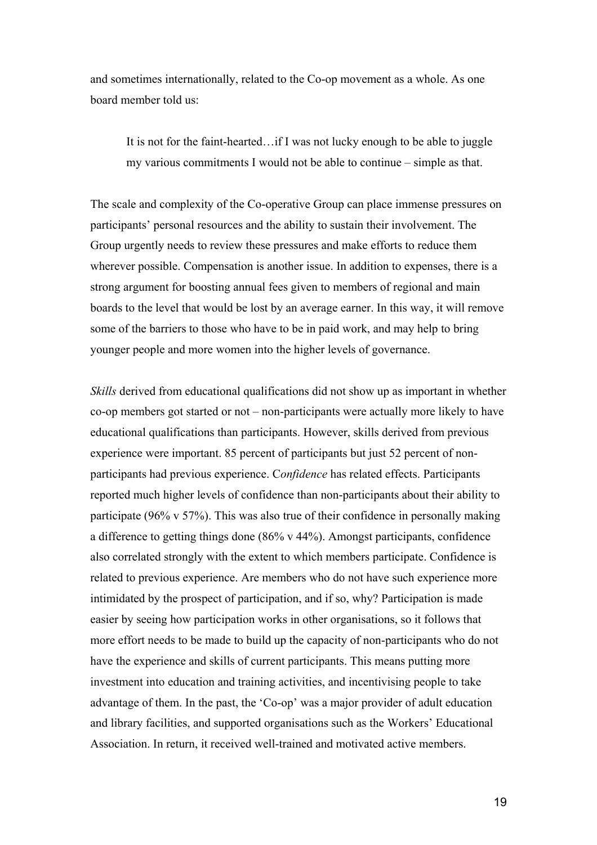and sometimes internationally, related to the Co-op movement as a whole. As one board member told us:

It is not for the faint-hearted…if I was not lucky enough to be able to juggle my various commitments I would not be able to continue – simple as that.

The scale and complexity of the Co-operative Group can place immense pressures on participants' personal resources and the ability to sustain their involvement. The Group urgently needs to review these pressures and make efforts to reduce them wherever possible. Compensation is another issue. In addition to expenses, there is a strong argument for boosting annual fees given to members of regional and main boards to the level that would be lost by an average earner. In this way, it will remove some of the barriers to those who have to be in paid work, and may help to bring younger people and more women into the higher levels of governance.

*Skills* derived from educational qualifications did not show up as important in whether co-op members got started or not – non-participants were actually more likely to have educational qualifications than participants. However, skills derived from previous experience were important. 85 percent of participants but just 52 percent of nonparticipants had previous experience. C*onfidence* has related effects. Participants reported much higher levels of confidence than non-participants about their ability to participate (96% v 57%). This was also true of their confidence in personally making a difference to getting things done (86% v 44%). Amongst participants, confidence also correlated strongly with the extent to which members participate. Confidence is related to previous experience. Are members who do not have such experience more intimidated by the prospect of participation, and if so, why? Participation is made easier by seeing how participation works in other organisations, so it follows that more effort needs to be made to build up the capacity of non-participants who do not have the experience and skills of current participants. This means putting more investment into education and training activities, and incentivising people to take advantage of them. In the past, the 'Co-op' was a major provider of adult education and library facilities, and supported organisations such as the Workers' Educational Association. In return, it received well-trained and motivated active members.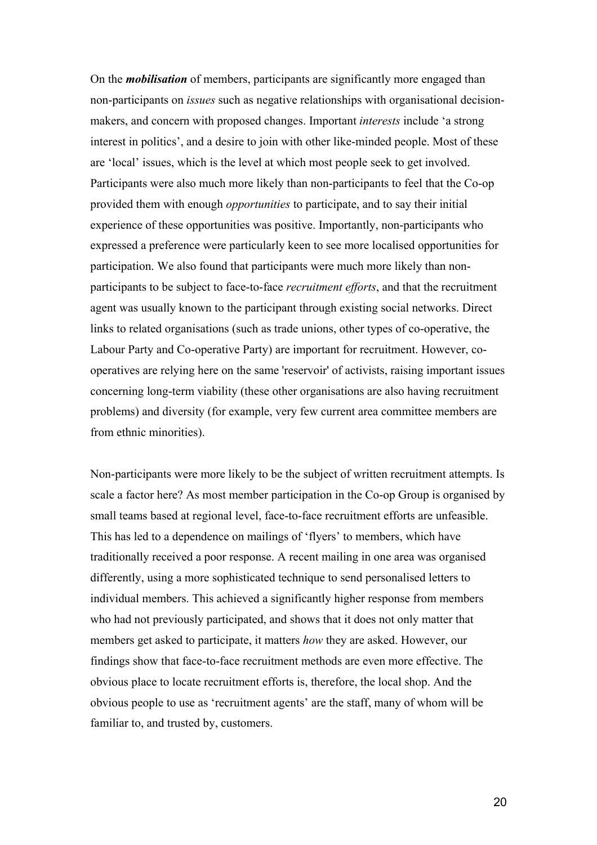On the *mobilisation* of members, participants are significantly more engaged than non-participants on *issues* such as negative relationships with organisational decisionmakers, and concern with proposed changes. Important *interests* include 'a strong interest in politics', and a desire to join with other like-minded people. Most of these are 'local' issues, which is the level at which most people seek to get involved. Participants were also much more likely than non-participants to feel that the Co-op provided them with enough *opportunities* to participate, and to say their initial experience of these opportunities was positive. Importantly, non-participants who expressed a preference were particularly keen to see more localised opportunities for participation. We also found that participants were much more likely than nonparticipants to be subject to face-to-face *recruitment efforts*, and that the recruitment agent was usually known to the participant through existing social networks. Direct links to related organisations (such as trade unions, other types of co-operative, the Labour Party and Co-operative Party) are important for recruitment. However, cooperatives are relying here on the same 'reservoir' of activists, raising important issues concerning long-term viability (these other organisations are also having recruitment problems) and diversity (for example, very few current area committee members are from ethnic minorities).

Non-participants were more likely to be the subject of written recruitment attempts. Is scale a factor here? As most member participation in the Co-op Group is organised by small teams based at regional level, face-to-face recruitment efforts are unfeasible. This has led to a dependence on mailings of 'flyers' to members, which have traditionally received a poor response. A recent mailing in one area was organised differently, using a more sophisticated technique to send personalised letters to individual members. This achieved a significantly higher response from members who had not previously participated, and shows that it does not only matter that members get asked to participate, it matters *how* they are asked. However, our findings show that face-to-face recruitment methods are even more effective. The obvious place to locate recruitment efforts is, therefore, the local shop. And the obvious people to use as 'recruitment agents' are the staff, many of whom will be familiar to, and trusted by, customers.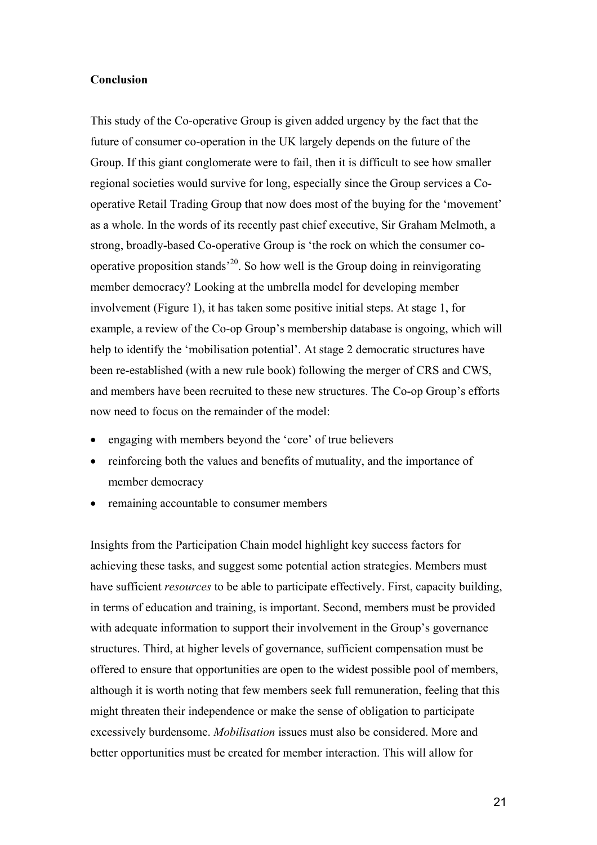#### **Conclusion**

This study of the Co-operative Group is given added urgency by the fact that the future of consumer co-operation in the UK largely depends on the future of the Group. If this giant conglomerate were to fail, then it is difficult to see how smaller regional societies would survive for long, especially since the Group services a Cooperative Retail Trading Group that now does most of the buying for the 'movement' as a whole. In the words of its recently past chief executive, Sir Graham Melmoth, a strong, broadly-based Co-operative Group is 'the rock on which the consumer cooperative proposition stands'20. So how well is the Group doing in reinvigorating member democracy? Looking at the umbrella model for developing member involvement (Figure 1), it has taken some positive initial steps. At stage 1, for example, a review of the Co-op Group's membership database is ongoing, which will help to identify the 'mobilisation potential'. At stage 2 democratic structures have been re-established (with a new rule book) following the merger of CRS and CWS, and members have been recruited to these new structures. The Co-op Group's efforts now need to focus on the remainder of the model:

- engaging with members beyond the 'core' of true believers
- reinforcing both the values and benefits of mutuality, and the importance of member democracy
- remaining accountable to consumer members

Insights from the Participation Chain model highlight key success factors for achieving these tasks, and suggest some potential action strategies. Members must have sufficient *resources* to be able to participate effectively. First, capacity building, in terms of education and training, is important. Second, members must be provided with adequate information to support their involvement in the Group's governance structures. Third, at higher levels of governance, sufficient compensation must be offered to ensure that opportunities are open to the widest possible pool of members, although it is worth noting that few members seek full remuneration, feeling that this might threaten their independence or make the sense of obligation to participate excessively burdensome. *Mobilisation* issues must also be considered. More and better opportunities must be created for member interaction. This will allow for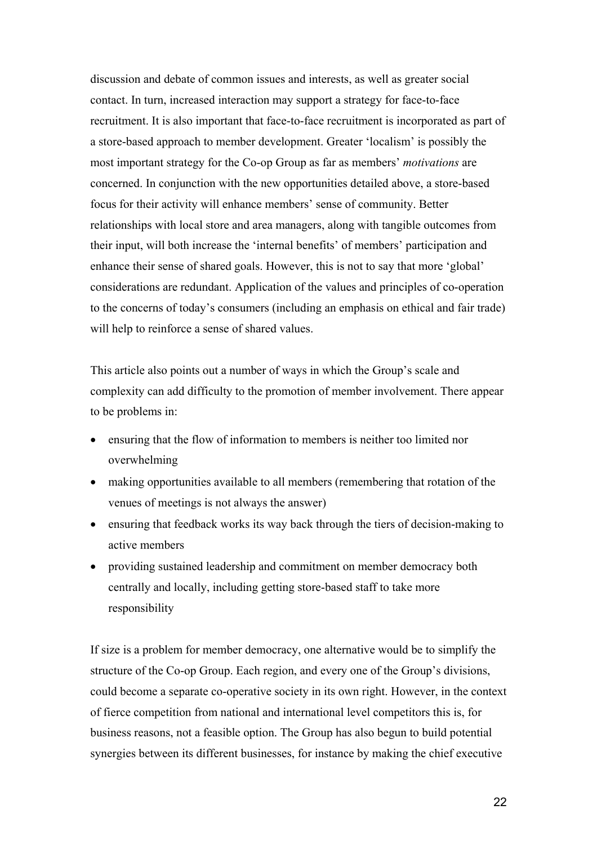discussion and debate of common issues and interests, as well as greater social contact. In turn, increased interaction may support a strategy for face-to-face recruitment. It is also important that face-to-face recruitment is incorporated as part of a store-based approach to member development. Greater 'localism' is possibly the most important strategy for the Co-op Group as far as members' *motivations* are concerned. In conjunction with the new opportunities detailed above, a store-based focus for their activity will enhance members' sense of community. Better relationships with local store and area managers, along with tangible outcomes from their input, will both increase the 'internal benefits' of members' participation and enhance their sense of shared goals. However, this is not to say that more 'global' considerations are redundant. Application of the values and principles of co-operation to the concerns of today's consumers (including an emphasis on ethical and fair trade) will help to reinforce a sense of shared values.

This article also points out a number of ways in which the Group's scale and complexity can add difficulty to the promotion of member involvement. There appear to be problems in:

- ensuring that the flow of information to members is neither too limited nor overwhelming
- making opportunities available to all members (remembering that rotation of the venues of meetings is not always the answer)
- ensuring that feedback works its way back through the tiers of decision-making to active members
- providing sustained leadership and commitment on member democracy both centrally and locally, including getting store-based staff to take more responsibility

If size is a problem for member democracy, one alternative would be to simplify the structure of the Co-op Group. Each region, and every one of the Group's divisions, could become a separate co-operative society in its own right. However, in the context of fierce competition from national and international level competitors this is, for business reasons, not a feasible option. The Group has also begun to build potential synergies between its different businesses, for instance by making the chief executive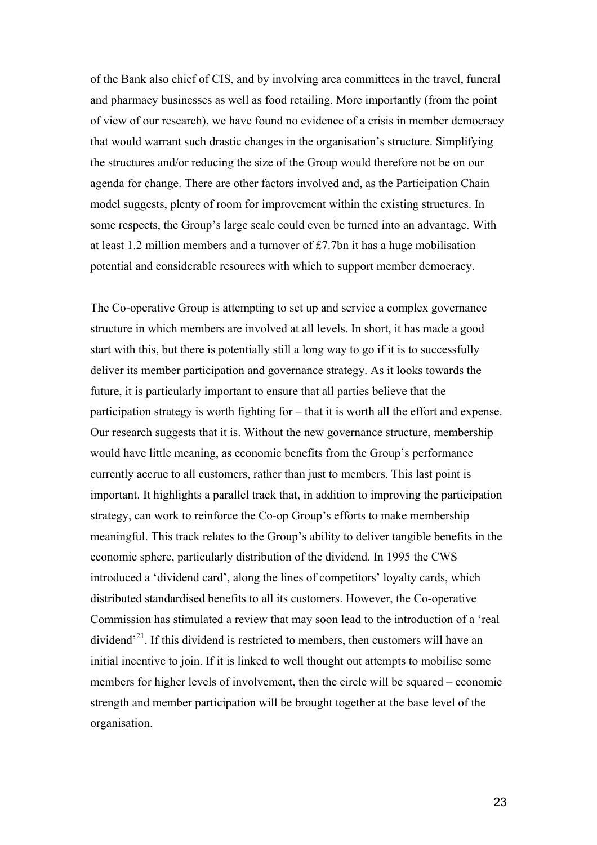of the Bank also chief of CIS, and by involving area committees in the travel, funeral and pharmacy businesses as well as food retailing. More importantly (from the point of view of our research), we have found no evidence of a crisis in member democracy that would warrant such drastic changes in the organisation's structure. Simplifying the structures and/or reducing the size of the Group would therefore not be on our agenda for change. There are other factors involved and, as the Participation Chain model suggests, plenty of room for improvement within the existing structures. In some respects, the Group's large scale could even be turned into an advantage. With at least 1.2 million members and a turnover of £7.7bn it has a huge mobilisation potential and considerable resources with which to support member democracy.

The Co-operative Group is attempting to set up and service a complex governance structure in which members are involved at all levels. In short, it has made a good start with this, but there is potentially still a long way to go if it is to successfully deliver its member participation and governance strategy. As it looks towards the future, it is particularly important to ensure that all parties believe that the participation strategy is worth fighting for – that it is worth all the effort and expense. Our research suggests that it is. Without the new governance structure, membership would have little meaning, as economic benefits from the Group's performance currently accrue to all customers, rather than just to members. This last point is important. It highlights a parallel track that, in addition to improving the participation strategy, can work to reinforce the Co-op Group's efforts to make membership meaningful. This track relates to the Group's ability to deliver tangible benefits in the economic sphere, particularly distribution of the dividend. In 1995 the CWS introduced a 'dividend card', along the lines of competitors' loyalty cards, which distributed standardised benefits to all its customers. However, the Co-operative Commission has stimulated a review that may soon lead to the introduction of a 'real dividend<sup> $21$ </sup>. If this dividend is restricted to members, then customers will have an initial incentive to join. If it is linked to well thought out attempts to mobilise some members for higher levels of involvement, then the circle will be squared – economic strength and member participation will be brought together at the base level of the organisation.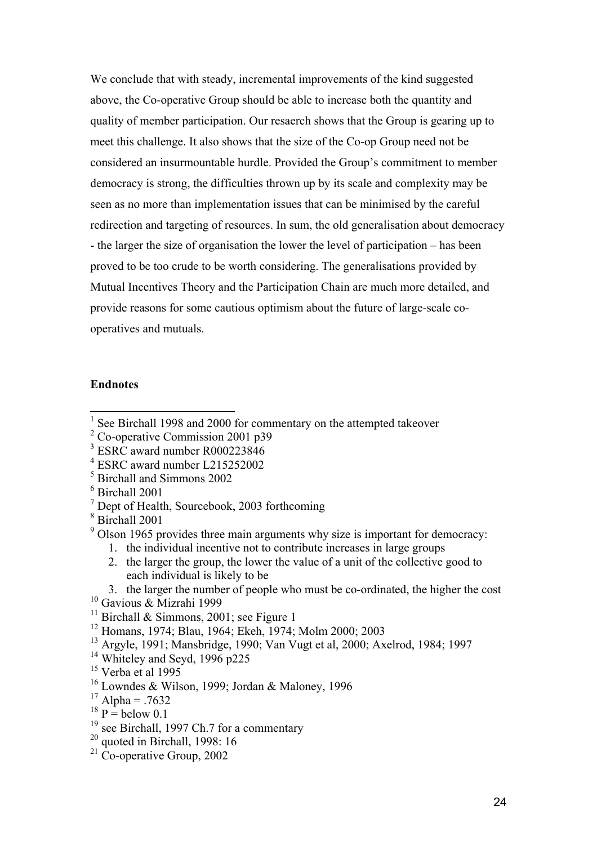We conclude that with steady, incremental improvements of the kind suggested above, the Co-operative Group should be able to increase both the quantity and quality of member participation. Our resaerch shows that the Group is gearing up to meet this challenge. It also shows that the size of the Co-op Group need not be considered an insurmountable hurdle. Provided the Group's commitment to member democracy is strong, the difficulties thrown up by its scale and complexity may be seen as no more than implementation issues that can be minimised by the careful redirection and targeting of resources. In sum, the old generalisation about democracy - the larger the size of organisation the lower the level of participation – has been proved to be too crude to be worth considering. The generalisations provided by Mutual Incentives Theory and the Participation Chain are much more detailed, and provide reasons for some cautious optimism about the future of large-scale cooperatives and mutuals.

### **Endnotes**

- 4 ESRC award number L215252002
- 5 Birchall and Simmons 2002
- 6 Birchall 2001
- <sup>7</sup> Dept of Health, Sourcebook, 2003 forthcoming
- 8 Birchall 2001
- $9^9$  Olson 1965 provides three main arguments why size is important for democracy:
	- 1. the individual incentive not to contribute increases in large groups
	- 2. the larger the group, the lower the value of a unit of the collective good to each individual is likely to be
	- 3. the larger the number of people who must be co-ordinated, the higher the cost
- <sup>10</sup> Gavious & Mizrahi 1999
- <sup>11</sup> Birchall & Simmons, 2001; see Figure 1
- 12 Homans, 1974; Blau, 1964; Ekeh, 1974; Molm 2000; 2003
- 13 Argyle, 1991; Mansbridge, 1990; Van Vugt et al, 2000; Axelrod, 1984; 1997
- $14$  Whiteley and Seyd, 1996 p225
- $15$  Verba et al 1995
- <sup>16</sup> Lowndes & Wilson, 1999; Jordan & Maloney, 1996
- $17$  Alpha = .7632
- $18 \text{ p} = \text{below } 0.1$
- <sup>19</sup> see Birchall, 1997 Ch.7 for a commentary
- $20$  quoted in Birchall, 1998: 16
- <sup>21</sup> Co-operative Group, 2002

<sup>&</sup>lt;sup>1</sup> See Birchall 1998 and 2000 for commentary on the attempted takeover

<sup>&</sup>lt;sup>2</sup> Co-operative Commission 2001 p39

<sup>3</sup> ESRC award number R000223846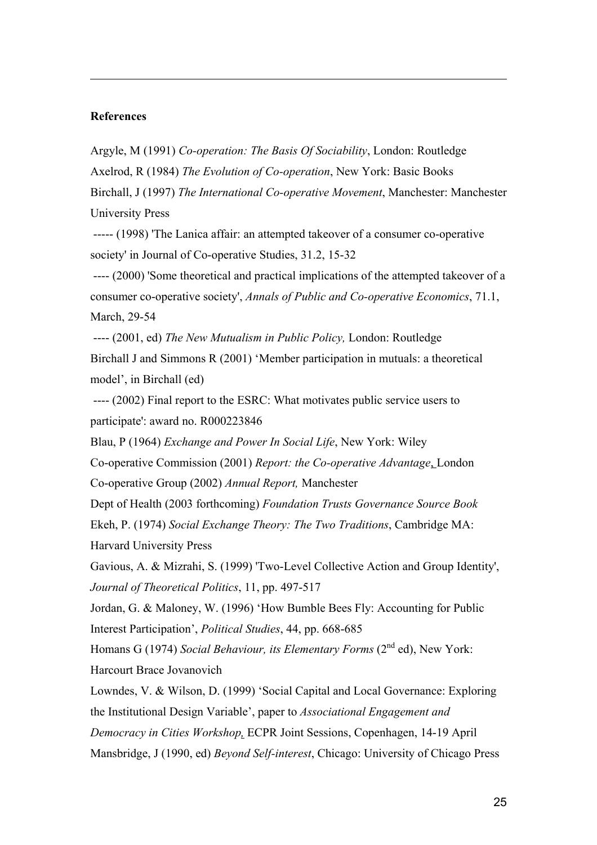### **References**

 $\overline{a}$ 

Argyle, M (1991) *Co-operation: The Basis Of Sociability*, London: Routledge Axelrod, R (1984) *The Evolution of Co-operation*, New York: Basic Books

Birchall, J (1997) *The International Co-operative Movement*, Manchester: Manchester University Press

 ----- (1998) 'The Lanica affair: an attempted takeover of a consumer co-operative society' in Journal of Co-operative Studies, 31.2, 15-32

 ---- (2000) 'Some theoretical and practical implications of the attempted takeover of a consumer co-operative society', *Annals of Public and Co-operative Economics*, 71.1, March, 29-54

---- (2001, ed) *The New Mutualism in Public Policy,* London: Routledge

Birchall J and Simmons R (2001) 'Member participation in mutuals: a theoretical model', in Birchall (ed)

 ---- (2002) Final report to the ESRC: What motivates public service users to participate': award no. R000223846

Blau, P (1964) *Exchange and Power In Social Life*, New York: Wiley

Co-operative Commission (2001) *Report: the Co-operative Advantage*, London

Co-operative Group (2002) *Annual Report,* Manchester

Dept of Health (2003 forthcoming) *Foundation Trusts Governance Source Book* Ekeh, P. (1974) *Social Exchange Theory: The Two Traditions*, Cambridge MA:

Harvard University Press

Gavious, A. & Mizrahi, S. (1999) 'Two-Level Collective Action and Group Identity', *Journal of Theoretical Politics*, 11, pp. 497-517

Jordan, G. & Maloney, W. (1996) 'How Bumble Bees Fly: Accounting for Public Interest Participation', *Political Studies*, 44, pp. 668-685

Homans G (1974) *Social Behaviour, its Elementary Forms* (2<sup>nd</sup> ed). New York: Harcourt Brace Jovanovich

Lowndes, V. & Wilson, D. (1999) 'Social Capital and Local Governance: Exploring the Institutional Design Variable', paper to *Associational Engagement and Democracy in Cities Workshop,* ECPR Joint Sessions, Copenhagen, 14-19 April Mansbridge, J (1990, ed) *Beyond Self-interest*, Chicago: University of Chicago Press